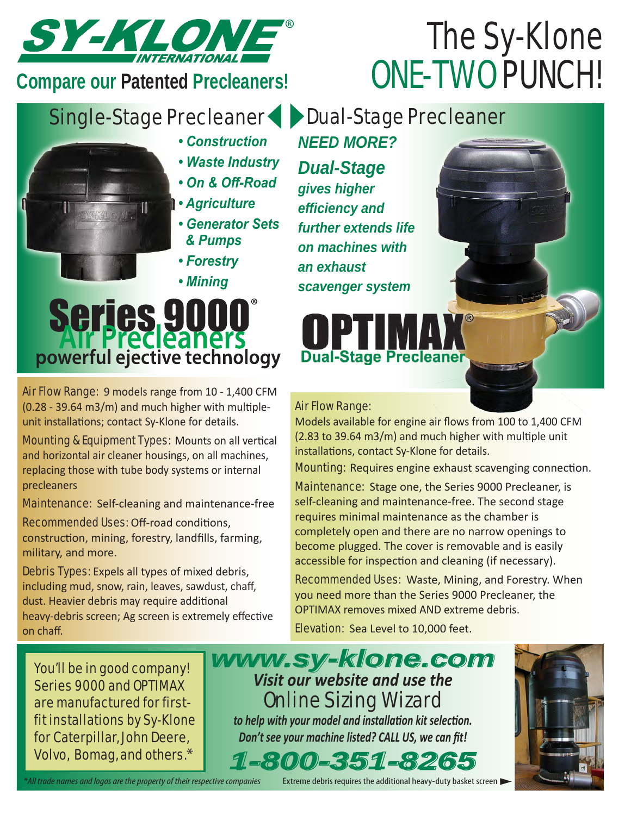

**Compare our Patented Precleaners!**

## The Sy-Klone ONE-TWO PUNCH!

## Single-Stage Precleaner Dual-Stage Precleaner

- *Construction*
- *Waste Industry*
- *On & Off-Road*
- 
- *Agriculture*
	- *Generator Sets & Pumps*
	- *Forestry*
	- *Mining*

# **Series 9000**<br> **Precleaners**<br> **powerful ejective technology**

Air Flow Range:9 models range from 10 - 1,400 CFM (0.28 - 39.64 m3/m) and much higher with multipleunit installations; contact Sy-Klone for details.

**Mounting & Equipment Types: Mounts on all vertical** and horizontal air cleaner housings, on all machines, replacing those with tube body systems or internal precleaners

Maintenance: Self-cleaning and maintenance-free

Recommended Uses: Off-road conditions, construction, mining, forestry, landfills, farming, military, and more.

Debris Types: Expels all types of mixed debris, including mud, snow, rain, leaves, sawdust, chaff, dust. Heavier debris may require additional heavy-debris screen; Ag screen is extremely effective on chaff.

You'll be in good company! Series 9000 and OPTIMAX are manufactured for firstfit installations by Sy-Klone for Caterpillar, John Deere, Volvo, Bomag, and others.\*

*1-800-351-8265 Visit our website and use the*  Online Sizing Wizard *to help with your model and installation kit selection. Don't see your machine listed? CALL US, we can fit! www.sy-klone.com*



## *NEED MORE?*

*Dual-Stage gives higher efficiency and further extends life on machines with an exhaust scavenger system*

**Dual-Stage Preclea** 

#### Air Flow Range:

Models available for engine air flows from 100 to 1,400 CFM (2.83 to 39.64 m3/m) and much higher with multiple unit installations, contact Sy-Klone for details.

**Mounting:** Requires engine exhaust scavenging connection.

Maintenance: Stage one, the Series 9000 Precleaner, is self-cleaning and maintenance-free. The second stage requires minimal maintenance as the chamber is completely open and there are no narrow openings to become plugged. The cover is removable and is easily accessible for inspection and cleaning (if necessary).

Recommended Uses: Waste, Mining, and Forestry. When you need more than the Series 9000 Precleaner, the OPTIMAX removes mixed AND extreme debris.

**Elevation:** Sea Level to 10,000 feet.

*\*All trade names and logos are the property of their respective companies*

Extreme debris requires the additional heavy-duty basket screen